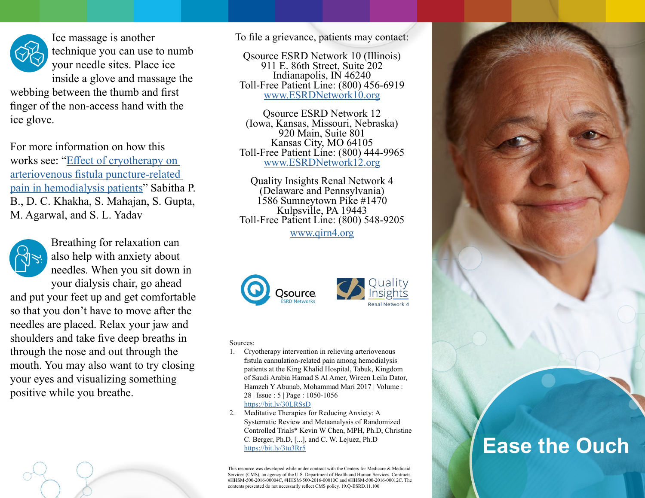

Ice massage is another technique you can use to numb your needle sites. Place ice inside a glove and massage the

webbing between the thumb and first finger of the non-access hand with the ice glove.

For more information on how this works see: "[Effect of cryotherapy on](https://www.researchgate.net/publication/26581391_Effect_of_cryotherapy_on_arteriovenous_fistula_puncture-related_pain_in_hemodialysis_patients)  [arteriovenous fistula puncture-related](https://www.researchgate.net/publication/26581391_Effect_of_cryotherapy_on_arteriovenous_fistula_puncture-related_pain_in_hemodialysis_patients)  [pain in hemodialysis patients](https://www.researchgate.net/publication/26581391_Effect_of_cryotherapy_on_arteriovenous_fistula_puncture-related_pain_in_hemodialysis_patients)" Sabitha P. B., D. C. Khakha, S. Mahajan, S. Gupta, M. Agarwal, and S. L. Yadav



Breathing for relaxation can also help with anxiety about needles. When you sit down in your dialysis chair, go ahead

and put your feet up and get comfortable so that you don't have to move after the needles are placed. Relax your jaw and shoulders and take five deep breaths in through the nose and out through the mouth. You may also want to try closing your eyes and visualizing something positive while you breathe.



To file a grievance, patients may contact:

Qsource ESRD Network 10 (Illinois) 911 E. 86th Street, Suite 202 Indianapolis, IN 46240 Toll-Free Patient Line: (800) 456‐6919 www.[ESRDNetwork10.org](http://ESRDNetwork10.org)

Qsource ESRD Network 12 (Iowa, Kansas, Missouri, Nebraska) 920 Main, Suite 801 Kansas City, MO 64105 Toll-Free Patient Line: (800) 444-9965 www.[ESRDNetwork12.org](http://ESRDNetwork12.org)

Quality Insights Renal Network 4 (Delaware and Pennsylvania) 1586 Sumneytown Pike #1470 Kulpsville, PA 19443 Toll-Free Patient Line: (800) 548-9205

www.[qirn4.org](http://qirn4.org)





## Sources:

- 1. Cryotherapy intervention in relieving arteriovenous fistula cannulation-related pain among hemodialysis patients at the King Khalid Hospital, Tabuk, Kingdom of Saudi Arabia Hamad S Al Amer, Wireen Leila Dator, Hamzeh Y Abunab, Mohammad Mari 2017 | Volume : 28 | Issue : 5 | Page : 1050-1056 <https://bit.ly/30LRSsD>
- 2. Meditative Therapies for Reducing Anxiety: A Systematic Review and Metaanalysis of Randomized Controlled Trials\* Kevin W Chen, MPH, Ph.D, Christine C. Berger, Ph.D, [...], and C. W. Lejuez, Ph.D <https://bit.ly/3tu3Rr5>

This resource was developed while under contract with the Centers for Medicare & Medicaid Services (CMS), an agency of the U.S. Department of Health and Human Services. Contracts #HHSM-500-2016-00004C, #HHSM-500-2016-00010C and #HHSM-500-2016-00012C. The contents presented do not necessarily reflect CMS policy. 19.Q-ESRD.11.100